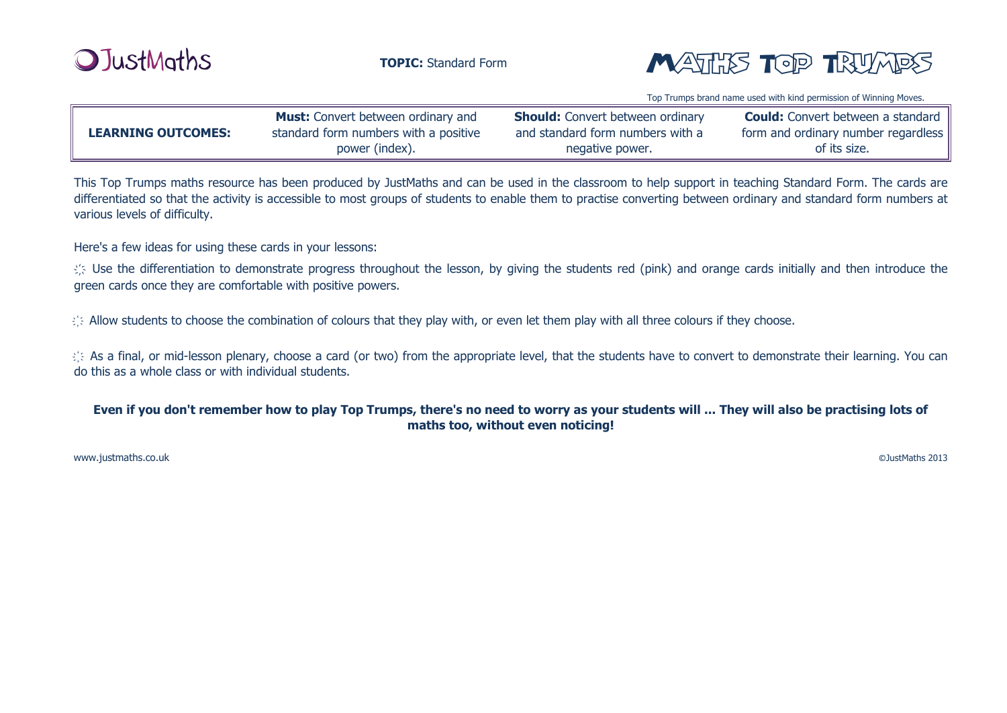



Top Trumps brand name used with kind permission of Winning Moves.

| <b>LEARNING OUTCOMES:</b> | <b>Must:</b> Convert between ordinary and | <b>Should:</b> Convert between ordinary | <b>Could:</b> Convert between a standard |
|---------------------------|-------------------------------------------|-----------------------------------------|------------------------------------------|
|                           | standard form numbers with a positive     | and standard form numbers with a        | form and ordinary number regardless      |
|                           | power (index).                            | negative power.                         | of its size.                             |

This Top Trumps maths resource has been produced by JustMaths and can be used in the classroom to help support in teaching Standard Form. The cards are differentiated so that the activity is accessible to most groups of students to enable them to practise converting between ordinary and standard form numbers at various levels of difficulty.

Here's a few ideas for using these cards in your lessons:

the differentiation to demonstrate progress throughout the lesson, by giving the students red (pink) and orange cards initially and then introduce the green cards once they are comfortable with positive powers.

 $\Diamond$  Allow students to choose the combination of colours that they play with, or even let them play with all three colours if they choose.

 $\langle \rangle$  As a final, or mid-lesson plenary, choose a card (or two) from the appropriate level, that the students have to convert to demonstrate their learning. You can do this as a whole class or with individual students.

## **Even if you don't remember how to play Top Trumps, there's no need to worry as your students will ... They will also be practising lots of maths too, without even noticing!**

[www.justmaths.co.uk](http://www.justmaths.co.uk/)

©JustMaths 2013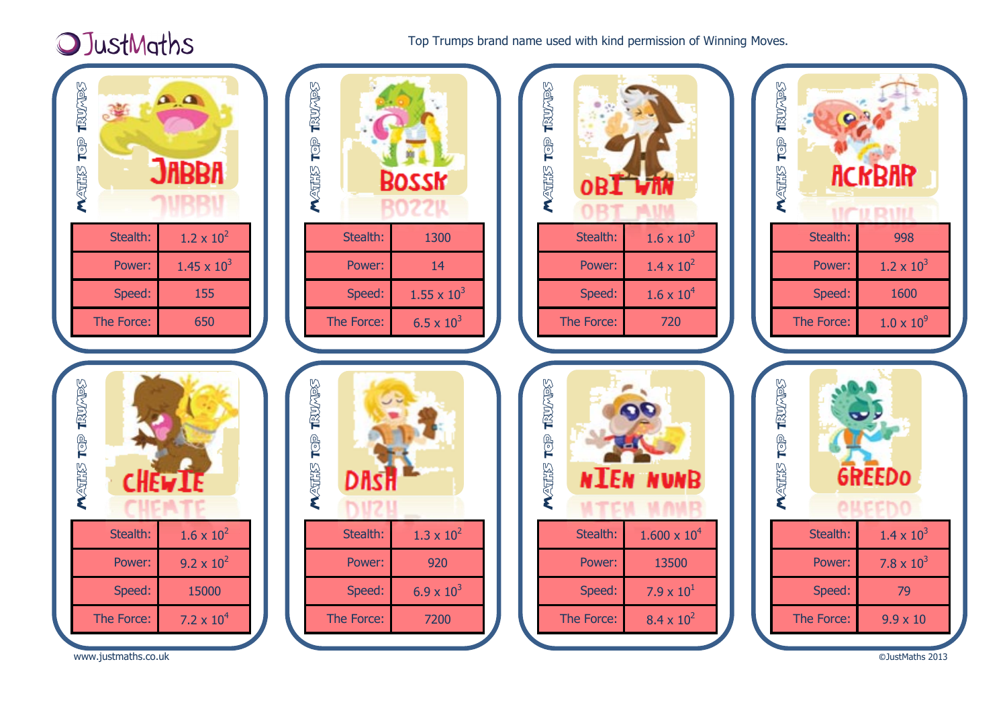## OJustMaths

Top Trumps brand name used with kind permission of Winning Moves.



[www.justmaths.co.uk](http://www.justmaths.co.uk/)

©JustMaths 2013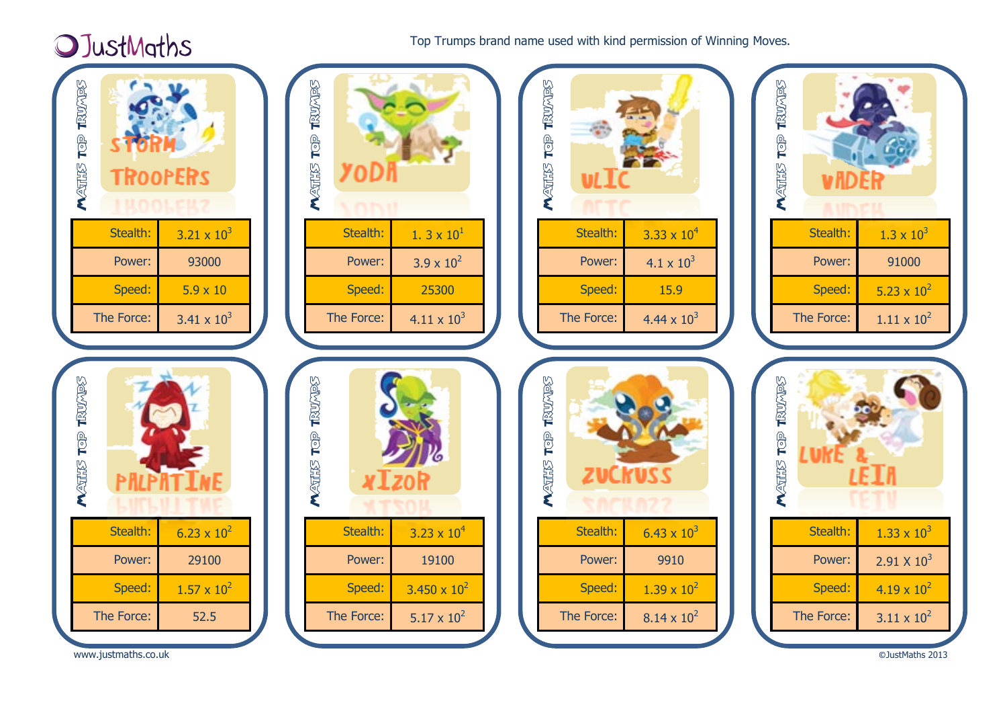## **OJustMaths**

Top Trumps brand name used with kind permission of Winning Moves.



[www.justmaths.co.uk](http://www.justmaths.co.uk/)